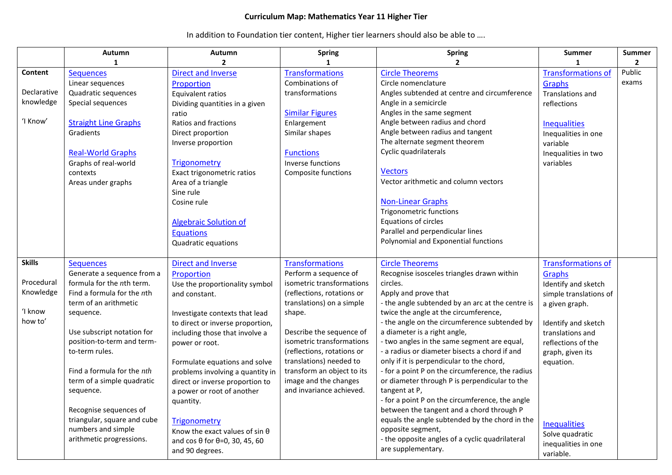## **Curriculum Map: Mathematics Year 11 Higher Tier**

In addition to Foundation tier content, Higher tier learners should also be able to ….

|                                                                | Autumn                                                                                                                                                                                                                                                                                                    | Autumn                                                                                                                                                                                                                                                                                                                                                     | <b>Spring</b>                                                                                                                                                                                                                                                                                                                                          | <b>Spring</b>                                                                                                                                                                                                                                                                                                                                                                                                                                                                                                                                             | <b>Summer</b>                                                                                                                                                                                                   | <b>Summer</b>   |
|----------------------------------------------------------------|-----------------------------------------------------------------------------------------------------------------------------------------------------------------------------------------------------------------------------------------------------------------------------------------------------------|------------------------------------------------------------------------------------------------------------------------------------------------------------------------------------------------------------------------------------------------------------------------------------------------------------------------------------------------------------|--------------------------------------------------------------------------------------------------------------------------------------------------------------------------------------------------------------------------------------------------------------------------------------------------------------------------------------------------------|-----------------------------------------------------------------------------------------------------------------------------------------------------------------------------------------------------------------------------------------------------------------------------------------------------------------------------------------------------------------------------------------------------------------------------------------------------------------------------------------------------------------------------------------------------------|-----------------------------------------------------------------------------------------------------------------------------------------------------------------------------------------------------------------|-----------------|
|                                                                | $\mathbf{1}$                                                                                                                                                                                                                                                                                              | $\overline{2}$                                                                                                                                                                                                                                                                                                                                             | $\mathbf{1}$                                                                                                                                                                                                                                                                                                                                           | $\overline{2}$                                                                                                                                                                                                                                                                                                                                                                                                                                                                                                                                            |                                                                                                                                                                                                                 | $\overline{2}$  |
| Content<br>Declarative<br>knowledge<br>'I Know'                | <b>Sequences</b><br>Linear sequences<br>Quadratic sequences<br>Special sequences<br><b>Straight Line Graphs</b>                                                                                                                                                                                           | <b>Direct and Inverse</b><br>Proportion<br>Equivalent ratios<br>Dividing quantities in a given<br>ratio<br>Ratios and fractions                                                                                                                                                                                                                            | <b>Transformations</b><br>Combinations of<br>transformations<br><b>Similar Figures</b><br>Enlargement                                                                                                                                                                                                                                                  | <b>Circle Theorems</b><br>Circle nomenclature<br>Angles subtended at centre and circumference<br>Angle in a semicircle<br>Angles in the same segment<br>Angle between radius and chord                                                                                                                                                                                                                                                                                                                                                                    | <b>Transformations of</b><br>Graphs<br><b>Translations and</b><br>reflections<br><b>Inequalities</b>                                                                                                            | Public<br>exams |
|                                                                | Gradients<br><b>Real-World Graphs</b><br>Graphs of real-world<br>contexts<br>Areas under graphs                                                                                                                                                                                                           | Direct proportion<br>Inverse proportion<br><b>Trigonometry</b><br>Exact trigonometric ratios<br>Area of a triangle<br>Sine rule<br>Cosine rule<br><b>Algebraic Solution of</b><br><b>Equations</b><br>Quadratic equations                                                                                                                                  | Similar shapes<br><b>Functions</b><br>Inverse functions<br>Composite functions                                                                                                                                                                                                                                                                         | Angle between radius and tangent<br>The alternate segment theorem<br>Cyclic quadrilaterals<br><b>Vectors</b><br>Vector arithmetic and column vectors<br><b>Non-Linear Graphs</b><br><b>Trigonometric functions</b><br>Equations of circles<br>Parallel and perpendicular lines<br>Polynomial and Exponential functions                                                                                                                                                                                                                                    | Inequalities in one<br>variable<br>Inequalities in two<br>variables                                                                                                                                             |                 |
| <b>Skills</b><br>Procedural<br>Knowledge<br>ʻI know<br>how to' | <b>Sequences</b><br>Generate a sequence from a<br>formula for the nth term.<br>Find a formula for the $n$ th<br>term of an arithmetic<br>sequence.<br>Use subscript notation for<br>position-to-term and term-<br>to-term rules.<br>Find a formula for the nth<br>term of a simple quadratic<br>sequence. | <b>Direct and Inverse</b><br>Proportion<br>Use the proportionality symbol<br>and constant.<br>Investigate contexts that lead<br>to direct or inverse proportion,<br>including those that involve a<br>power or root.<br>Formulate equations and solve<br>problems involving a quantity in<br>direct or inverse proportion to<br>a power or root of another | <b>Transformations</b><br>Perform a sequence of<br>isometric transformations<br>(reflections, rotations or<br>translations) on a simple<br>shape.<br>Describe the sequence of<br>isometric transformations<br>(reflections, rotations or<br>translations) needed to<br>transform an object to its<br>image and the changes<br>and invariance achieved. | <b>Circle Theorems</b><br>Recognise isosceles triangles drawn within<br>circles.<br>Apply and prove that<br>- the angle subtended by an arc at the centre is<br>twice the angle at the circumference,<br>- the angle on the circumference subtended by<br>a diameter is a right angle,<br>- two angles in the same segment are equal,<br>- a radius or diameter bisects a chord if and<br>only if it is perpendicular to the chord,<br>- for a point P on the circumference, the radius<br>or diameter through P is perpendicular to the<br>tangent at P, | <b>Transformations of</b><br><b>Graphs</b><br>Identify and sketch<br>simple translations of<br>a given graph.<br>Identify and sketch<br>translations and<br>reflections of the<br>graph, given its<br>equation. |                 |
|                                                                | Recognise sequences of<br>triangular, square and cube<br>numbers and simple<br>arithmetic progressions.                                                                                                                                                                                                   | quantity.<br>Trigonometry<br>Know the exact values of sin $\theta$<br>and $cos \theta$ for $\theta = 0$ , 30, 45, 60<br>and 90 degrees.                                                                                                                                                                                                                    |                                                                                                                                                                                                                                                                                                                                                        | - for a point P on the circumference, the angle<br>between the tangent and a chord through P<br>equals the angle subtended by the chord in the<br>opposite segment,<br>- the opposite angles of a cyclic quadrilateral<br>are supplementary.                                                                                                                                                                                                                                                                                                              | <b>Inequalities</b><br>Solve quadratic<br>inequalities in one<br>variable.                                                                                                                                      |                 |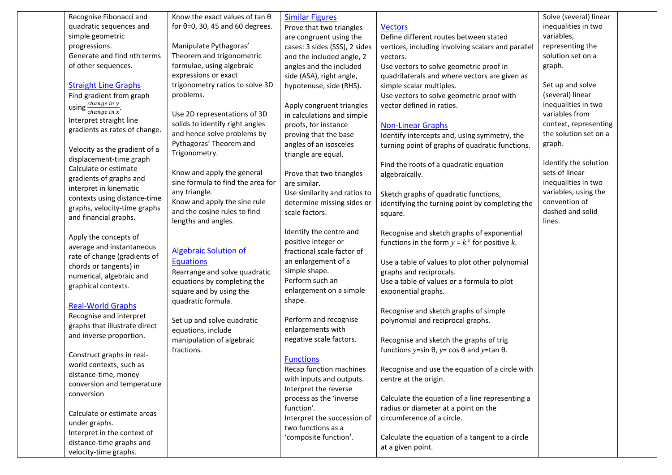| Recognise Fibonacci and                       | Know the exact values of tan $\theta$   | <b>Similar Figures</b>        |                                                                 | Solve (several) linear |  |
|-----------------------------------------------|-----------------------------------------|-------------------------------|-----------------------------------------------------------------|------------------------|--|
| quadratic sequences and                       | for $\theta$ =0, 30, 45 and 60 degrees. | Prove that two triangles      | <b>Vectors</b>                                                  | inequalities in two    |  |
| simple geometric                              |                                         | are congruent using the       | Define different routes between stated                          | variables,             |  |
| progressions.                                 | Manipulate Pythagoras'                  | cases: 3 sides (SSS), 2 sides | vertices, including involving scalars and parallel              | representing the       |  |
| Generate and find nth terms                   | Theorem and trigonometric               | and the included angle, 2     | vectors.                                                        | solution set on a      |  |
| of other sequences.                           | formulae, using algebraic               | angles and the included       | Use vectors to solve geometric proof in                         | graph.                 |  |
|                                               | expressions or exact                    | side (ASA), right angle,      | quadrilaterals and where vectors are given as                   |                        |  |
| <b>Straight Line Graphs</b>                   | trigonometry ratios to solve 3D         | hypotenuse, side (RHS).       | simple scalar multiples.                                        | Set up and solve       |  |
| Find gradient from graph                      | problems.                               |                               | Use vectors to solve geometric proof with                       | (several) linear       |  |
|                                               |                                         | Apply congruent triangles     | vector defined in ratios.                                       | inequalities in two    |  |
| using $\frac{change\ in\ y}{change\ in\ x}$ . | Use 2D representations of 3D            | in calculations and simple    |                                                                 | variables from         |  |
| Interpret straight line                       | solids to identify right angles         | proofs, for instance          | <b>Non-Linear Graphs</b>                                        | context, representing  |  |
| gradients as rates of change.                 | and hence solve problems by             | proving that the base         | Identify intercepts and, using symmetry, the                    | the solution set on a  |  |
|                                               | Pythagoras' Theorem and                 | angles of an isosceles        | turning point of graphs of quadratic functions.                 | graph.                 |  |
| Velocity as the gradient of a                 | Trigonometry.                           | triangle are equal.           |                                                                 |                        |  |
| displacement-time graph                       |                                         |                               | Find the roots of a quadratic equation                          | Identify the solution  |  |
| Calculate or estimate                         | Know and apply the general              | Prove that two triangles      | algebraically.                                                  | sets of linear         |  |
| gradients of graphs and                       | sine formula to find the area for       | are similar.                  |                                                                 | inequalities in two    |  |
| interpret in kinematic                        | any triangle.                           | Use similarity and ratios to  | Sketch graphs of quadratic functions,                           | variables, using the   |  |
| contexts using distance-time                  | Know and apply the sine rule            | determine missing sides or    | identifying the turning point by completing the                 | convention of          |  |
| graphs, velocity-time graphs                  | and the cosine rules to find            | scale factors.                | square.                                                         | dashed and solid       |  |
| and financial graphs.                         | lengths and angles.                     |                               |                                                                 | lines.                 |  |
|                                               |                                         | Identify the centre and       | Recognise and sketch graphs of exponential                      |                        |  |
| Apply the concepts of                         |                                         | positive integer or           | functions in the form $y = k^x$ for positive k.                 |                        |  |
| average and instantaneous                     | <b>Algebraic Solution of</b>            | fractional scale factor of    |                                                                 |                        |  |
| rate of change (gradients of                  | <b>Equations</b>                        | an enlargement of a           | Use a table of values to plot other polynomial                  |                        |  |
| chords or tangents) in                        | Rearrange and solve quadratic           | simple shape.                 | graphs and reciprocals.                                         |                        |  |
| numerical, algebraic and                      | equations by completing the             | Perform such an               | Use a table of values or a formula to plot                      |                        |  |
| graphical contexts.                           | square and by using the                 | enlargement on a simple       | exponential graphs.                                             |                        |  |
|                                               | quadratic formula.                      | shape.                        |                                                                 |                        |  |
| <b>Real-World Graphs</b>                      |                                         |                               | Recognise and sketch graphs of simple                           |                        |  |
| Recognise and interpret                       | Set up and solve quadratic              | Perform and recognise         | polynomial and reciprocal graphs.                               |                        |  |
| graphs that illustrate direct                 | equations, include                      | enlargements with             |                                                                 |                        |  |
| and inverse proportion.                       | manipulation of algebraic               | negative scale factors.       | Recognise and sketch the graphs of trig                         |                        |  |
|                                               | fractions.                              |                               | functions y=sin $\theta$ , y= cos $\theta$ and y=tan $\theta$ . |                        |  |
| Construct graphs in real-                     |                                         | <b>Functions</b>              |                                                                 |                        |  |
| world contexts, such as                       |                                         | Recap function machines       | Recognise and use the equation of a circle with                 |                        |  |
| distance-time, money                          |                                         | with inputs and outputs.      | centre at the origin.                                           |                        |  |
| conversion and temperature                    |                                         | Interpret the reverse         |                                                                 |                        |  |
| conversion                                    |                                         | process as the 'inverse       | Calculate the equation of a line representing a                 |                        |  |
|                                               |                                         | function'.                    | radius or diameter at a point on the                            |                        |  |
| Calculate or estimate areas                   |                                         | Interpret the succession of   | circumference of a circle.                                      |                        |  |
| under graphs.                                 |                                         | two functions as a            |                                                                 |                        |  |
| Interpret in the context of                   |                                         | 'composite function'.         | Calculate the equation of a tangent to a circle                 |                        |  |
| distance-time graphs and                      |                                         |                               | at a given point.                                               |                        |  |
| velocity-time graphs.                         |                                         |                               |                                                                 |                        |  |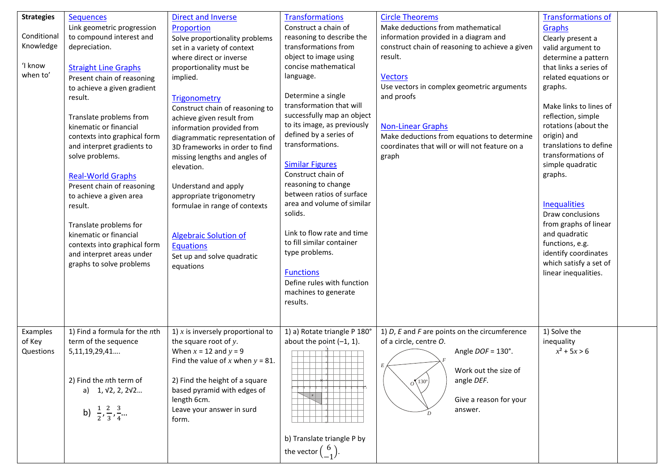| <b>Strategies</b><br>Conditional<br>Knowledge<br>'I know<br>when to' | <b>Sequences</b><br>Link geometric progression<br>to compound interest and<br>depreciation.<br><b>Straight Line Graphs</b><br>Present chain of reasoning<br>to achieve a given gradient<br>result.<br>Translate problems from<br>kinematic or financial<br>contexts into graphical form<br>and interpret gradients to<br>solve problems.<br><b>Real-World Graphs</b><br>Present chain of reasoning<br>to achieve a given area<br>result.<br>Translate problems for<br>kinematic or financial<br>contexts into graphical form<br>and interpret areas under<br>graphs to solve problems | <b>Direct and Inverse</b><br>Proportion<br>Solve proportionality problems<br>set in a variety of context<br>where direct or inverse<br>proportionality must be<br>implied.<br>Trigonometry<br>Construct chain of reasoning to<br>achieve given result from<br>information provided from<br>diagrammatic representation of<br>3D frameworks in order to find<br>missing lengths and angles of<br>elevation.<br>Understand and apply<br>appropriate trigonometry<br>formulae in range of contexts<br><b>Algebraic Solution of</b><br><b>Equations</b><br>Set up and solve quadratic<br>equations | <b>Transformations</b><br>Construct a chain of<br>reasoning to describe the<br>transformations from<br>object to image using<br>concise mathematical<br>language.<br>Determine a single<br>transformation that will<br>successfully map an object<br>to its image, as previously<br>defined by a series of<br>transformations.<br><b>Similar Figures</b><br>Construct chain of<br>reasoning to change<br>between ratios of surface<br>area and volume of similar<br>solids.<br>Link to flow rate and time<br>to fill similar container<br>type problems.<br><b>Functions</b><br>Define rules with function<br>machines to generate<br>results. | <b>Circle Theorems</b><br>Make deductions from mathematical<br>information provided in a diagram and<br>construct chain of reasoning to achieve a given<br>result.<br><b>Vectors</b><br>Use vectors in complex geometric arguments<br>and proofs<br><b>Non-Linear Graphs</b><br>Make deductions from equations to determine<br>coordinates that will or will not feature on a<br>graph | <b>Transformations of</b><br><b>Graphs</b><br>Clearly present a<br>valid argument to<br>determine a pattern<br>that links a series of<br>related equations or<br>graphs.<br>Make links to lines of<br>reflection, simple<br>rotations (about the<br>origin) and<br>translations to define<br>transformations of<br>simple quadratic<br>graphs.<br><b>Inequalities</b><br>Draw conclusions<br>from graphs of linear<br>and quadratic<br>functions, e.g.<br>identify coordinates<br>which satisfy a set of<br>linear inequalities. |  |
|----------------------------------------------------------------------|---------------------------------------------------------------------------------------------------------------------------------------------------------------------------------------------------------------------------------------------------------------------------------------------------------------------------------------------------------------------------------------------------------------------------------------------------------------------------------------------------------------------------------------------------------------------------------------|------------------------------------------------------------------------------------------------------------------------------------------------------------------------------------------------------------------------------------------------------------------------------------------------------------------------------------------------------------------------------------------------------------------------------------------------------------------------------------------------------------------------------------------------------------------------------------------------|------------------------------------------------------------------------------------------------------------------------------------------------------------------------------------------------------------------------------------------------------------------------------------------------------------------------------------------------------------------------------------------------------------------------------------------------------------------------------------------------------------------------------------------------------------------------------------------------------------------------------------------------|----------------------------------------------------------------------------------------------------------------------------------------------------------------------------------------------------------------------------------------------------------------------------------------------------------------------------------------------------------------------------------------|----------------------------------------------------------------------------------------------------------------------------------------------------------------------------------------------------------------------------------------------------------------------------------------------------------------------------------------------------------------------------------------------------------------------------------------------------------------------------------------------------------------------------------|--|
| Examples<br>of Key<br>Questions                                      | 1) Find a formula for the $n$ th<br>term of the sequence<br>5,11,19,29,41<br>2) Find the $n$ th term of<br>a) $1, \sqrt{2}, 2, 2\sqrt{2}$<br>b) $\frac{1}{2}, \frac{2}{3}, \frac{3}{4}$                                                                                                                                                                                                                                                                                                                                                                                               | 1) $x$ is inversely proportional to<br>the square root of $y$ .<br>When $x = 12$ and $y = 9$<br>Find the value of x when $y = 81$ .<br>2) Find the height of a square<br>based pyramid with edges of<br>length 6cm.<br>Leave your answer in surd<br>form.                                                                                                                                                                                                                                                                                                                                      | 1) a) Rotate triangle P 180°<br>about the point $(-1, 1)$ .<br>b) Translate triangle P by<br>the vector $\begin{pmatrix} 6 \\ -1 \end{pmatrix}$ .                                                                                                                                                                                                                                                                                                                                                                                                                                                                                              | 1) $D$ , $E$ and $F$ are points on the circumference<br>of a circle, centre O.<br>Angle DOF = 130°.<br>Work out the size of<br>angle DEF.<br>$o^{(130^{\circ})}$<br>Give a reason for your<br>answer.                                                                                                                                                                                  | 1) Solve the<br>inequality<br>$x^2$ + 5x > 6                                                                                                                                                                                                                                                                                                                                                                                                                                                                                     |  |